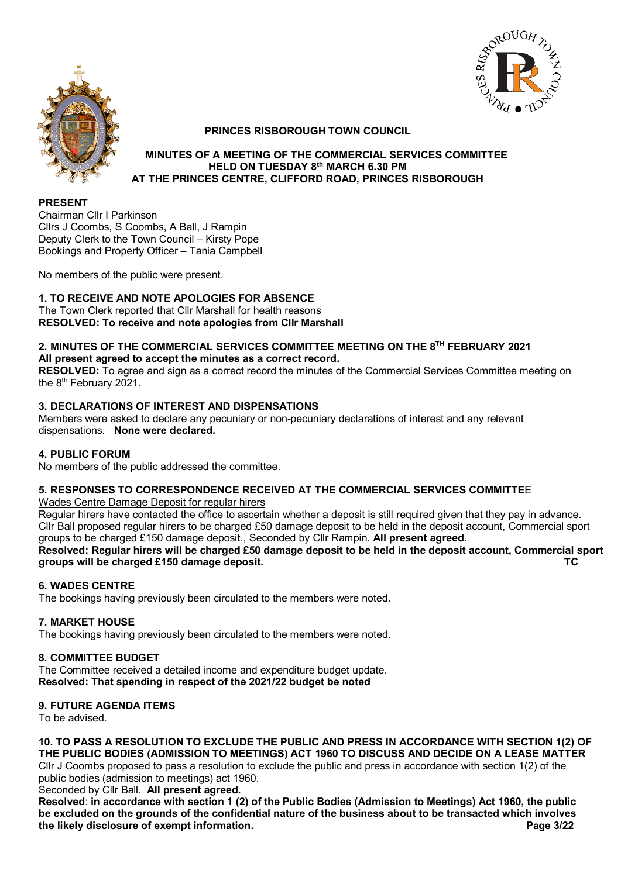



#### **PRINCES RISBOROUGH TOWN COUNCIL**

#### **MINUTES OF A MEETING OF THE COMMERCIAL SERVICES COMMITTEE HELD ON TUESDAY 8th MARCH 6.30 PM AT THE PRINCES CENTRE, CLIFFORD ROAD, PRINCES RISBOROUGH**

#### **PRESENT**

Chairman Cllr I Parkinson Cllrs J Coombs, S Coombs, A Ball, J Rampin Deputy Clerk to the Town Council – Kirsty Pope Bookings and Property Officer – Tania Campbell

No members of the public were present.

## **1. TO RECEIVE AND NOTE APOLOGIES FOR ABSENCE**

The Town Clerk reported that Cllr Marshall for health reasons **RESOLVED: To receive and note apologies from Cllr Marshall**

# **2. MINUTES OF THE COMMERCIAL SERVICES COMMITTEE MEETING ON THE 8TH FEBRUARY 2021**

**All present agreed to accept the minutes as a correct record.**

**RESOLVED:** To agree and sign as a correct record the minutes of the Commercial Services Committee meeting on the 8<sup>th</sup> February 2021.

## **3. DECLARATIONS OF INTEREST AND DISPENSATIONS**

Members were asked to declare any pecuniary or non-pecuniary declarations of interest and any relevant dispensations. **None were declared.**

#### **4. PUBLIC FORUM**

No members of the public addressed the committee.

## **5. RESPONSES TO CORRESPONDENCE RECEIVED AT THE COMMERCIAL SERVICES COMMITTE**E

Wades Centre Damage Deposit for regular hirers

Regular hirers have contacted the office to ascertain whether a deposit is still required given that they pay in advance. Cllr Ball proposed regular hirers to be charged £50 damage deposit to be held in the deposit account, Commercial sport groups to be charged £150 damage deposit., Seconded by Cllr Rampin. **All present agreed. Resolved: Regular hirers will be charged £50 damage deposit to be held in the deposit account, Commercial sport groups will be charged £150 damage deposit. TC**

## **6. WADES CENTRE**

The bookings having previously been circulated to the members were noted.

## **7. MARKET HOUSE**

The bookings having previously been circulated to the members were noted.

#### **8. COMMITTEE BUDGET**

The Committee received a detailed income and expenditure budget update. **Resolved: That spending in respect of the 2021/22 budget be noted**

## **9. FUTURE AGENDA ITEMS**

To be advised.

**10. TO PASS A RESOLUTION TO EXCLUDE THE PUBLIC AND PRESS IN ACCORDANCE WITH SECTION 1(2) OF THE PUBLIC BODIES (ADMISSION TO MEETINGS) ACT 1960 TO DISCUSS AND DECIDE ON A LEASE MATTER** Cllr J Coombs proposed to pass a resolution to exclude the public and press in accordance with section 1(2) of the

public bodies (admission to meetings) act 1960.

## Seconded by Cllr Ball. **All present agreed.**

**Resolved**: **in accordance with section 1 (2) of the Public Bodies (Admission to Meetings) Act 1960, the public be excluded on the grounds of the confidential nature of the business about to be transacted which involves**  the likely disclosure of exempt information.